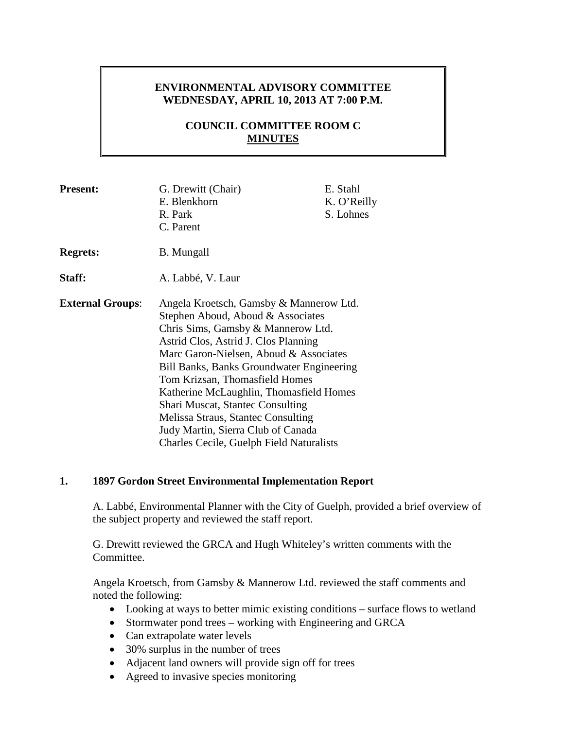### **ENVIRONMENTAL ADVISORY COMMITTEE WEDNESDAY, APRIL 10, 2013 AT 7:00 P.M.**

## **COUNCIL COMMITTEE ROOM C MINUTES**

| <b>Present:</b>         | G. Drewitt (Chair)<br>E. Blenkhorn<br>R. Park<br>C. Parent                                                                                                                                                                                                                                                                                                                                                                                                                                               | E. Stahl<br>K. O'Reilly<br>S. Lohnes |
|-------------------------|----------------------------------------------------------------------------------------------------------------------------------------------------------------------------------------------------------------------------------------------------------------------------------------------------------------------------------------------------------------------------------------------------------------------------------------------------------------------------------------------------------|--------------------------------------|
| <b>Regrets:</b>         | B. Mungall                                                                                                                                                                                                                                                                                                                                                                                                                                                                                               |                                      |
| Staff:                  | A. Labbé, V. Laur                                                                                                                                                                                                                                                                                                                                                                                                                                                                                        |                                      |
| <b>External Groups:</b> | Angela Kroetsch, Gamsby & Mannerow Ltd.<br>Stephen Aboud, Aboud & Associates<br>Chris Sims, Gamsby & Mannerow Ltd.<br>Astrid Clos, Astrid J. Clos Planning<br>Marc Garon-Nielsen, Aboud & Associates<br><b>Bill Banks, Banks Groundwater Engineering</b><br>Tom Krizsan, Thomasfield Homes<br>Katherine McLaughlin, Thomasfield Homes<br>Shari Muscat, Stantec Consulting<br>Melissa Straus, Stantec Consulting<br>Judy Martin, Sierra Club of Canada<br><b>Charles Cecile, Guelph Field Naturalists</b> |                                      |

### **1. 1897 Gordon Street Environmental Implementation Report**

A. Labbé, Environmental Planner with the City of Guelph, provided a brief overview of the subject property and reviewed the staff report.

G. Drewitt reviewed the GRCA and Hugh Whiteley's written comments with the Committee.

Angela Kroetsch, from Gamsby & Mannerow Ltd. reviewed the staff comments and noted the following:

- Looking at ways to better mimic existing conditions surface flows to wetland
- Stormwater pond trees working with Engineering and GRCA
- Can extrapolate water levels
- 30% surplus in the number of trees
- Adjacent land owners will provide sign off for trees
- Agreed to invasive species monitoring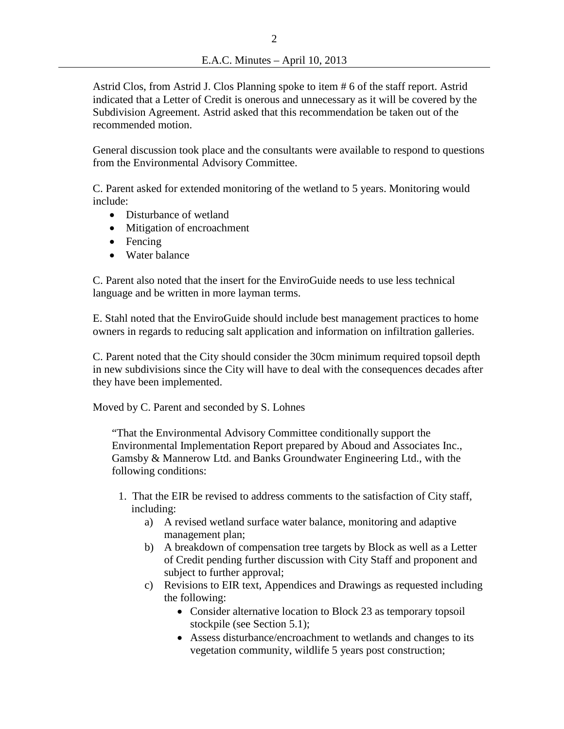Astrid Clos, from Astrid J. Clos Planning spoke to item # 6 of the staff report. Astrid indicated that a Letter of Credit is onerous and unnecessary as it will be covered by the Subdivision Agreement. Astrid asked that this recommendation be taken out of the recommended motion.

General discussion took place and the consultants were available to respond to questions from the Environmental Advisory Committee.

C. Parent asked for extended monitoring of the wetland to 5 years. Monitoring would include:

- Disturbance of wetland
- Mitigation of encroachment
- Fencing
- Water balance

C. Parent also noted that the insert for the EnviroGuide needs to use less technical language and be written in more layman terms.

E. Stahl noted that the EnviroGuide should include best management practices to home owners in regards to reducing salt application and information on infiltration galleries.

C. Parent noted that the City should consider the 30cm minimum required topsoil depth in new subdivisions since the City will have to deal with the consequences decades after they have been implemented.

Moved by C. Parent and seconded by S. Lohnes

"That the Environmental Advisory Committee conditionally support the Environmental Implementation Report prepared by Aboud and Associates Inc., Gamsby & Mannerow Ltd. and Banks Groundwater Engineering Ltd., with the following conditions:

- 1. That the EIR be revised to address comments to the satisfaction of City staff, including:
	- a) A revised wetland surface water balance, monitoring and adaptive management plan;
	- b) A breakdown of compensation tree targets by Block as well as a Letter of Credit pending further discussion with City Staff and proponent and subject to further approval;
	- c) Revisions to EIR text, Appendices and Drawings as requested including the following:
		- Consider alternative location to Block 23 as temporary topsoil stockpile (see Section 5.1);
		- Assess disturbance/encroachment to wetlands and changes to its vegetation community, wildlife 5 years post construction;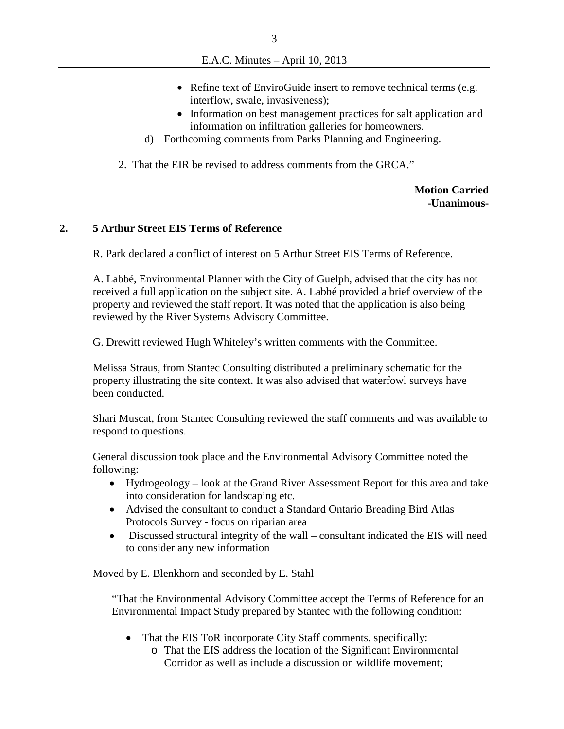- Refine text of EnviroGuide insert to remove technical terms (e.g. interflow, swale, invasiveness);
- Information on best management practices for salt application and information on infiltration galleries for homeowners.
- d) Forthcoming comments from Parks Planning and Engineering.
- 2. That the EIR be revised to address comments from the GRCA."

**Motion Carried -Unanimous-**

### **2. 5 Arthur Street EIS Terms of Reference**

R. Park declared a conflict of interest on 5 Arthur Street EIS Terms of Reference.

A. Labbé, Environmental Planner with the City of Guelph, advised that the city has not received a full application on the subject site. A. Labbé provided a brief overview of the property and reviewed the staff report. It was noted that the application is also being reviewed by the River Systems Advisory Committee.

G. Drewitt reviewed Hugh Whiteley's written comments with the Committee.

Melissa Straus, from Stantec Consulting distributed a preliminary schematic for the property illustrating the site context. It was also advised that waterfowl surveys have been conducted.

Shari Muscat, from Stantec Consulting reviewed the staff comments and was available to respond to questions.

General discussion took place and the Environmental Advisory Committee noted the following:

- Hydrogeology look at the Grand River Assessment Report for this area and take into consideration for landscaping etc.
- Advised the consultant to conduct a Standard Ontario Breading Bird Atlas Protocols Survey - focus on riparian area
- Discussed structural integrity of the wall consultant indicated the EIS will need to consider any new information

Moved by E. Blenkhorn and seconded by E. Stahl

"That the Environmental Advisory Committee accept the Terms of Reference for an Environmental Impact Study prepared by Stantec with the following condition:

- That the EIS ToR incorporate City Staff comments, specifically:
	- o That the EIS address the location of the Significant Environmental Corridor as well as include a discussion on wildlife movement;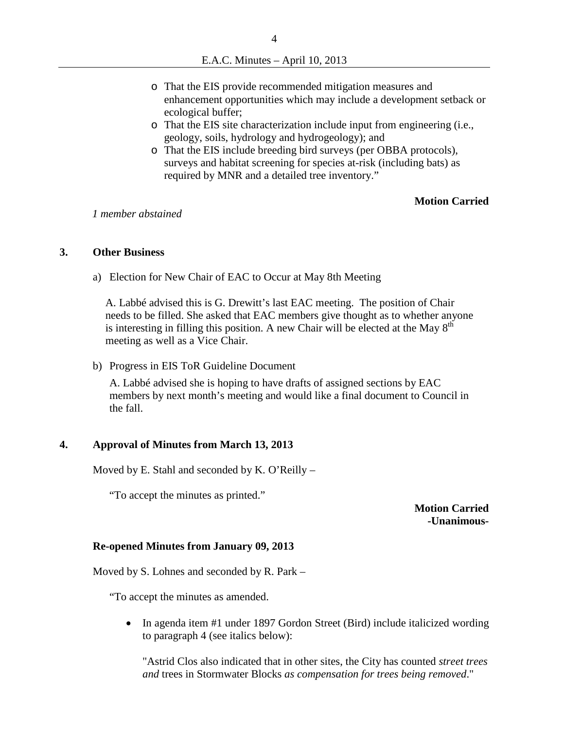- o That the EIS provide recommended mitigation measures and enhancement opportunities which may include a development setback or ecological buffer;
- o That the EIS site characterization include input from engineering (i.e., geology, soils, hydrology and hydrogeology); and
- o That the EIS include breeding bird surveys (per OBBA protocols), surveys and habitat screening for species at-risk (including bats) as required by MNR and a detailed tree inventory."

#### **Motion Carried**

*1 member abstained*

#### **3. Other Business**

a) Election for New Chair of EAC to Occur at May 8th Meeting

A. Labbé advised this is G. Drewitt's last EAC meeting. The position of Chair needs to be filled. She asked that EAC members give thought as to whether anyone is interesting in filling this position. A new Chair will be elected at the May  $8<sup>th</sup>$ meeting as well as a Vice Chair.

b) Progress in EIS ToR Guideline Document

A. Labbé advised she is hoping to have drafts of assigned sections by EAC members by next month's meeting and would like a final document to Council in the fall.

#### **4. Approval of Minutes from March 13, 2013**

Moved by E. Stahl and seconded by K. O'Reilly –

"To accept the minutes as printed."

**Motion Carried -Unanimous-**

#### **Re-opened Minutes from January 09, 2013**

Moved by S. Lohnes and seconded by R. Park –

"To accept the minutes as amended.

• In agenda item #1 under 1897 Gordon Street (Bird) include italicized wording to paragraph 4 (see italics below):

"Astrid Clos also indicated that in other sites, the City has counted *street trees and* trees in Stormwater Blocks *as compensation for trees being removed*."